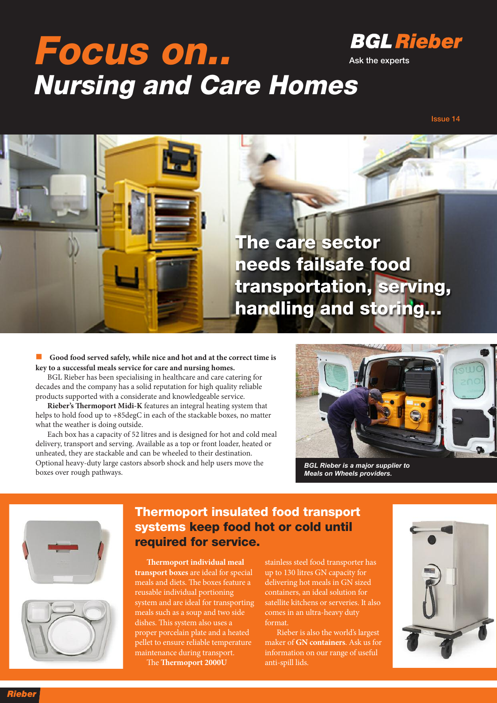## **Focus on.. Nursing and Care Homes**



**Ask the experts**

**Issue 14**



n **Good food served safely, while nice and hot and at the correct time is key to a successful meals service for care and nursing homes.**

BGL Rieber has been specialising in healthcare and care catering for decades and the company has a solid reputation for high quality reliable products supported with a considerate and knowledgeable service.

**Rieber's Thermoport Midi-K** features an integral heating system that helps to hold food up to +85degC in each of the stackable boxes, no matter what the weather is doing outside.

Each box has a capacity of 52 litres and is designed for hot and cold meal delivery, transport and serving. Available as a top or front loader, heated or unheated, they are stackable and can be wheeled to their destination. Optional heavy-duty large castors absorb shock and help users move the boxes over rough pathways.



*BGL Rieber is a major supplier to Meals on Wheels providers.*





## **Thermoport insulated food transport systems keep food hot or cold until required for service.**

**ermoport individual meal transport boxes** are ideal for special meals and diets. The boxes feature a reusable individual portioning system and are ideal for transporting meals such as a soup and two side dishes. This system also uses a proper porcelain plate and a heated pellet to ensure reliable temperature maintenance during transport. The **Thermoport** 2000U

stainless steel food transporter has up to 130 litres GN capacity for delivering hot meals in GN sized containers, an ideal solution for satellite kitchens or serveries. It also comes in an ultra-heavy duty format.

Rieber is also the world's largest maker of **GN containers**. Ask us for information on our range of useful anti-spill lids.